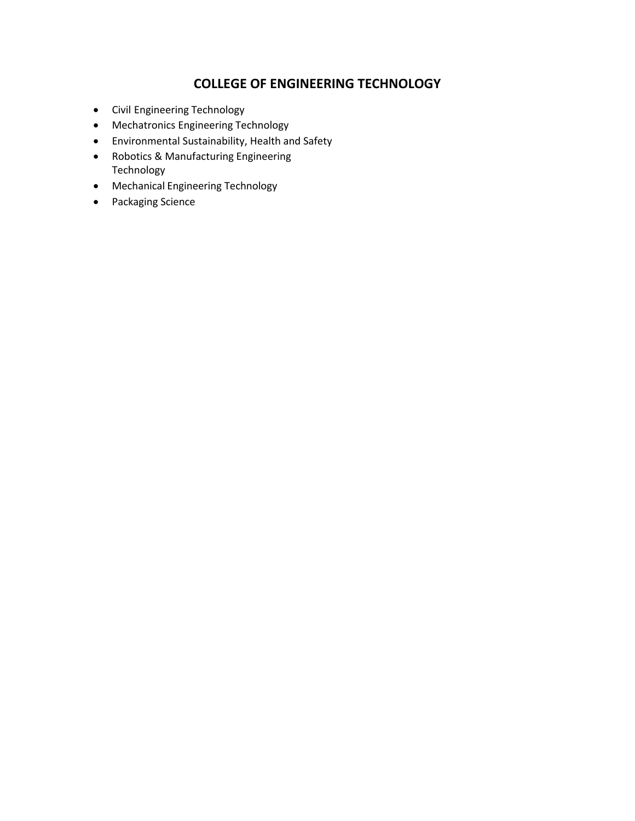### **COLLEGE OF ENGINEERING TECHNOLOGY**

- Civil [Engineering Technology](#page-1-0)
- Mechatronics [Engineering Technology](#page-5-0)
- [Environmental Sustainability, Health and Safety](#page-8-0)
- Robotics & [Manufacturing Engineering](#page-11-0)  Technology
- [Mechanical Engineering Technology](#page-13-0)
- [Packaging Science](#page-15-0)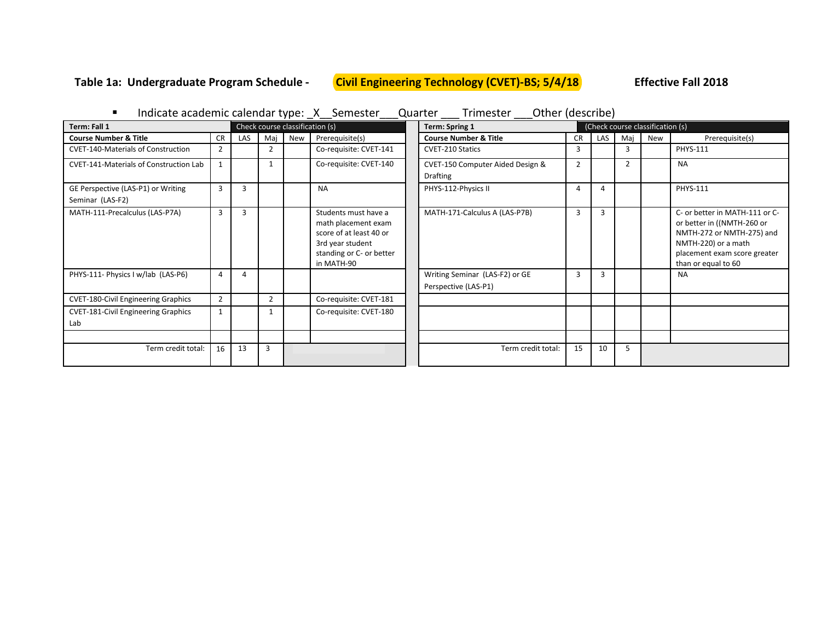# <span id="page-1-0"></span>**Table 1a: Undergraduate Program Schedule - Civil Engineering Technology (CVET)-BS; 5/4/18 Effective Fall 2018**

|                                                        |                                 |            |                |            |                                                                                                                                      | marcate acquering carendar type. A Dennester Quarter infinester Other (describe) |                |      |   |                                  |
|--------------------------------------------------------|---------------------------------|------------|----------------|------------|--------------------------------------------------------------------------------------------------------------------------------------|----------------------------------------------------------------------------------|----------------|------|---|----------------------------------|
| Term: Fall 1                                           | Check course classification (s) |            |                |            |                                                                                                                                      | Term: Spring 1                                                                   |                |      |   | (Check course classification (s) |
| <b>Course Number &amp; Title</b>                       | <b>CR</b>                       | <b>LAS</b> | Mai            | <b>New</b> | Prerequisite(s)                                                                                                                      | <b>Course Number &amp; Title</b>                                                 | <b>CR</b>      | LAS. |   | Maj                              |
| <b>CVET-140-Materials of Construction</b>              | $\overline{2}$                  |            |                |            | Co-requisite: CVET-141                                                                                                               | <b>CVET-210 Statics</b>                                                          | 3              |      |   | 3                                |
| <b>CVET-141-Materials of Construction Lab</b>          |                                 |            |                |            | Co-requisite: CVET-140                                                                                                               | CVET-150 Computer Aided Design &<br><b>Drafting</b>                              | $\overline{2}$ |      | 2 |                                  |
| GE Perspective (LAS-P1) or Writing<br>Seminar (LAS-F2) | $\overline{3}$                  | 3          |                |            | <b>NA</b>                                                                                                                            | PHYS-112-Physics II                                                              | 4              |      |   |                                  |
| MATH-111-Precalculus (LAS-P7A)                         | 3                               | 3          |                |            | Students must have a<br>math placement exam<br>score of at least 40 or<br>3rd year student<br>standing or C- or better<br>in MATH-90 | MATH-171-Calculus A (LAS-P7B)                                                    | 3              | 3    |   |                                  |
| PHYS-111- Physics I w/lab (LAS-P6)                     | $\overline{4}$                  | 4          |                |            |                                                                                                                                      | Writing Seminar (LAS-F2) or GE<br>Perspective (LAS-P1)                           | 3              | 3    |   |                                  |
| <b>CVET-180-Civil Engineering Graphics</b>             | $\overline{2}$                  |            | $\overline{2}$ |            | Co-requisite: CVET-181                                                                                                               |                                                                                  |                |      |   |                                  |
| <b>CVET-181-Civil Engineering Graphics</b><br>Lab      | $\overline{1}$                  |            |                |            | Co-requisite: CVET-180                                                                                                               |                                                                                  |                |      |   |                                  |
|                                                        |                                 |            |                |            |                                                                                                                                      |                                                                                  |                |      |   |                                  |
| Term credit total:                                     | 16                              | 13         | 3              |            |                                                                                                                                      | Term credit total:                                                               | 15             | 10   | 5 |                                  |

**I** Indicate academic calendar type:  $X$  Semester Quarter Trimester Other (describe)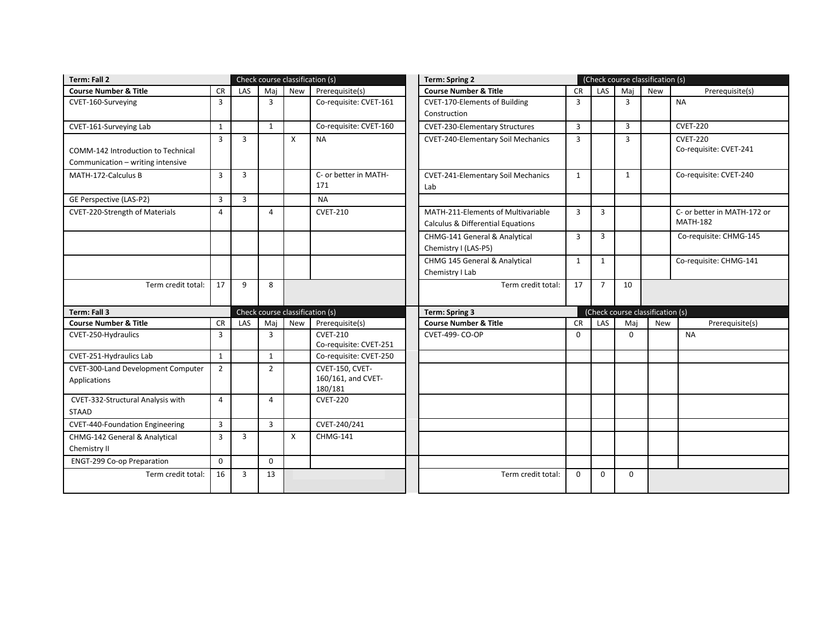| Term: Fall 2                                                            |                |                |                | Check course classification (s) |                               |                                              | <b>Term: Spring 2</b> |                |                | (Check course classification (s) |
|-------------------------------------------------------------------------|----------------|----------------|----------------|---------------------------------|-------------------------------|----------------------------------------------|-----------------------|----------------|----------------|----------------------------------|
| <b>Course Number &amp; Title</b>                                        | <b>CR</b>      | LAS            | Mai            | New                             | Prerequisite(s)               | <b>Course Number &amp; Title</b>             |                       | <b>CR</b>      | LAS            | Maj                              |
| CVET-160-Surveying                                                      | 3              |                | $\overline{3}$ |                                 | Co-requisite: CVET-161        | <b>CVET-170-Elements of Building</b>         |                       | 3              |                | 3                                |
|                                                                         |                |                |                |                                 |                               | Construction                                 |                       |                |                |                                  |
| CVET-161-Surveying Lab                                                  | $\mathbf{1}$   |                | $\mathbf{1}$   |                                 | Co-requisite: CVET-160        | <b>CVET-230-Elementary Structures</b>        |                       | 3              |                | $\overline{3}$                   |
|                                                                         | $\overline{3}$ | $\overline{3}$ |                | X                               | <b>NA</b>                     | <b>CVET-240-Elementary Soil Mechanics</b>    |                       | 3              |                | $\overline{3}$                   |
| COMM-142 Introduction to Technical                                      |                |                |                |                                 |                               |                                              |                       |                |                |                                  |
| Communication - writing intensive                                       |                |                |                |                                 |                               |                                              |                       |                |                |                                  |
| MATH-172-Calculus B                                                     | $\overline{3}$ | 3              |                |                                 | C- or better in MATH-         | <b>CVET-241-Elementary Soil Mechanics</b>    |                       | $\mathbf{1}$   |                | $\mathbf{1}$                     |
|                                                                         |                |                |                |                                 | 171                           | Lab                                          |                       |                |                |                                  |
| GE Perspective (LAS-P2)                                                 | 3              | 3              |                |                                 | <b>NA</b>                     |                                              |                       |                |                |                                  |
| <b>CVET-220-Strength of Materials</b>                                   | $\overline{4}$ |                | 4              |                                 | <b>CVET-210</b>               | MATH-211-Elements of Multivariable           |                       | 3              | 3              |                                  |
|                                                                         |                |                |                |                                 |                               | <b>Calculus &amp; Differential Equations</b> |                       |                |                |                                  |
|                                                                         |                |                |                |                                 |                               | CHMG-141 General & Analytical                | 3                     |                | $\overline{3}$ |                                  |
|                                                                         |                |                |                |                                 |                               | Chemistry I (LAS-P5)                         |                       |                |                |                                  |
|                                                                         |                |                |                |                                 |                               | CHMG 145 General & Analytical                | $\mathbf{1}$          |                | $\mathbf{1}$   |                                  |
|                                                                         |                |                |                |                                 |                               | Chemistry I Lab                              |                       |                |                |                                  |
| Term credit total:                                                      | 17             | 9              | 8              |                                 |                               | Term credit total:                           | 17                    | $\overline{7}$ |                | 10                               |
| Term: Fall 3                                                            |                |                |                | Check course classification (s) |                               | Term: Spring 3                               |                       |                |                | (Check course classification (s) |
| <b>Course Number &amp; Title</b>                                        | <b>CR</b>      | LAS            | Mai            | New                             | Prerequisite(s)               | <b>Course Number &amp; Title</b>             | <b>CR</b>             | LAS            |                | Mai                              |
| CVET-250-Hydraulics                                                     | 3              |                | $\overline{3}$ |                                 | <b>CVET-210</b>               | <b>CVET-499- CO-OP</b>                       | $\Omega$              |                |                | $\Omega$                         |
|                                                                         |                |                |                |                                 | Co-requisite: CVET-251        |                                              |                       |                |                |                                  |
| CVET-251-Hydraulics Lab                                                 | $\mathbf{1}$   |                | $\mathbf{1}$   |                                 | Co-requisite: CVET-250        |                                              |                       |                |                |                                  |
| <b>CVET-300-Land Development Computer</b>                               | $\overline{2}$ |                | $\overline{2}$ |                                 | CVET-150, CVET-               |                                              |                       |                |                |                                  |
| Applications                                                            |                |                |                |                                 | 160/161, and CVET-<br>180/181 |                                              |                       |                |                |                                  |
| CVET-332-Structural Analysis with                                       | 4              |                | 4              |                                 | <b>CVET-220</b>               |                                              |                       |                |                |                                  |
| STAAD                                                                   |                |                |                |                                 |                               |                                              |                       |                |                |                                  |
|                                                                         |                |                |                |                                 |                               |                                              |                       |                |                |                                  |
|                                                                         | $\overline{3}$ |                | $\overline{3}$ |                                 | CVET-240/241                  |                                              |                       |                |                |                                  |
| <b>CVET-440-Foundation Engineering</b><br>CHMG-142 General & Analytical | 3              | 3              |                | X                               | <b>CHMG-141</b>               |                                              |                       |                |                |                                  |
| Chemistry II                                                            |                |                |                |                                 |                               |                                              |                       |                |                |                                  |
| ENGT-299 Co-op Preparation                                              | $\mathbf 0$    |                | $\Omega$       |                                 |                               |                                              |                       |                |                |                                  |
| Term credit total:                                                      | 16             | 3              | 13             |                                 |                               | Term credit total:                           | $\Omega$              | $\Omega$       | $\Omega$       |                                  |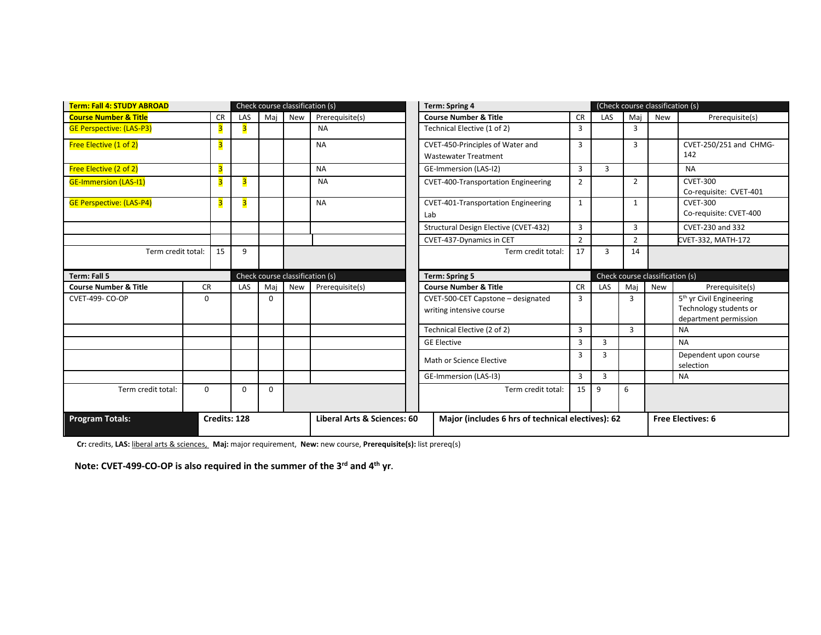| <b>Term: Fall 4: STUDY ABROAD</b> |           |                         |          | Check course classification (s) |                                 | <b>Term: Spring 4</b> |  |                                                                 |                |                | (Check course classification (s) |                                 |                                                                                         |
|-----------------------------------|-----------|-------------------------|----------|---------------------------------|---------------------------------|-----------------------|--|-----------------------------------------------------------------|----------------|----------------|----------------------------------|---------------------------------|-----------------------------------------------------------------------------------------|
| <b>Course Number &amp; Title</b>  |           | <b>CR</b>               | LAS      | Maj                             | <b>New</b>                      | Prerequisite(s)       |  | <b>Course Number &amp; Title</b>                                | <b>CR</b>      | <b>LAS</b>     | Mai                              | <b>New</b>                      | Prerequisite(s)                                                                         |
| <b>GE Perspective: (LAS-P3)</b>   |           | 3                       |          |                                 |                                 | <b>NA</b>             |  | Technical Elective (1 of 2)                                     | 3              |                | 3                                |                                 |                                                                                         |
| Free Elective (1 of 2)            |           | $\overline{\mathbf{3}}$ |          |                                 |                                 | <b>NA</b>             |  | CVET-450-Principles of Water and<br><b>Wastewater Treatment</b> | 3              |                | 3                                |                                 | CVET-250/251 and CHMG-<br>142                                                           |
| Free Elective (2 of 2)            |           | 3                       |          |                                 |                                 | <b>NA</b>             |  | GE-Immersion (LAS-I2)                                           | 3              | $\overline{3}$ |                                  |                                 | <b>NA</b>                                                                               |
| <b>GE-Immersion (LAS-I1)</b>      |           | $\overline{\mathbf{3}}$ |          |                                 |                                 | <b>NA</b>             |  | <b>CVET-400-Transportation Engineering</b>                      | $\overline{2}$ |                | 2                                |                                 | <b>CVET-300</b><br>Co-requisite: CVET-401                                               |
| <b>GE Perspective: (LAS-P4)</b>   |           | $\overline{\mathbf{3}}$ |          |                                 |                                 | <b>NA</b>             |  | <b>CVET-401-Transportation Engineering</b><br>Lab               | $\mathbf{1}$   |                | 1                                |                                 | <b>CVET-300</b><br>Co-requisite: CVET-400                                               |
|                                   |           |                         |          |                                 |                                 |                       |  | Structural Design Elective (CVET-432)                           | 3              |                | 3                                |                                 | CVET-230 and 332                                                                        |
|                                   |           |                         |          |                                 |                                 |                       |  | CVET-437-Dynamics in CET                                        | $\overline{2}$ |                | $\overline{2}$                   |                                 | CVET-332, MATH-172                                                                      |
| Term credit total:                |           | 15                      | 9        |                                 |                                 |                       |  | Term credit total:                                              | 17             | 3              | 14                               |                                 |                                                                                         |
|                                   |           |                         |          |                                 |                                 |                       |  |                                                                 |                |                |                                  |                                 |                                                                                         |
| Term: Fall 5                      |           |                         |          |                                 | Check course classification (s) |                       |  | Term: Spring 5                                                  |                |                |                                  | Check course classification (s) |                                                                                         |
| <b>Course Number &amp; Title</b>  | <b>CR</b> |                         | LAS      | Maj                             | <b>New</b>                      | Prerequisite(s)       |  | <b>Course Number &amp; Title</b>                                | <b>CR</b>      | LAS            | Mai                              | <b>New</b>                      | Prerequisite(s)                                                                         |
| <b>CVET-499- CO-OP</b>            | 0         |                         |          | $\Omega$                        |                                 |                       |  | CVET-500-CET Capstone - designated<br>writing intensive course  | 3              |                | 3                                |                                 | 5 <sup>th</sup> yr Civil Engineering<br>Technology students or<br>department permission |
|                                   |           |                         |          |                                 |                                 |                       |  | Technical Elective (2 of 2)                                     | 3              |                | 3                                |                                 | <b>NA</b>                                                                               |
|                                   |           |                         |          |                                 |                                 |                       |  | <b>GE Elective</b>                                              | 3              | 3              |                                  |                                 | <b>NA</b>                                                                               |
|                                   |           |                         |          |                                 |                                 |                       |  | Math or Science Elective                                        | 3              | 3              |                                  |                                 | Dependent upon course<br>selection                                                      |
|                                   |           |                         |          |                                 |                                 |                       |  | GE-Immersion (LAS-I3)                                           | 3              | 3              |                                  |                                 | <b>NA</b>                                                                               |
| Term credit total:                | 0         |                         | $\Omega$ | $\Omega$                        |                                 |                       |  | Term credit total:                                              | 15             | 9              | 6                                |                                 |                                                                                         |

**Cr:** credits, **LAS:** liberal arts & sciences, **Maj:** major requirement, **New:** new course, **Prerequisite(s):** list prereq(s)

**Note: CVET-499-CO-OP is also required in the summer of the 3rd and 4th yr.**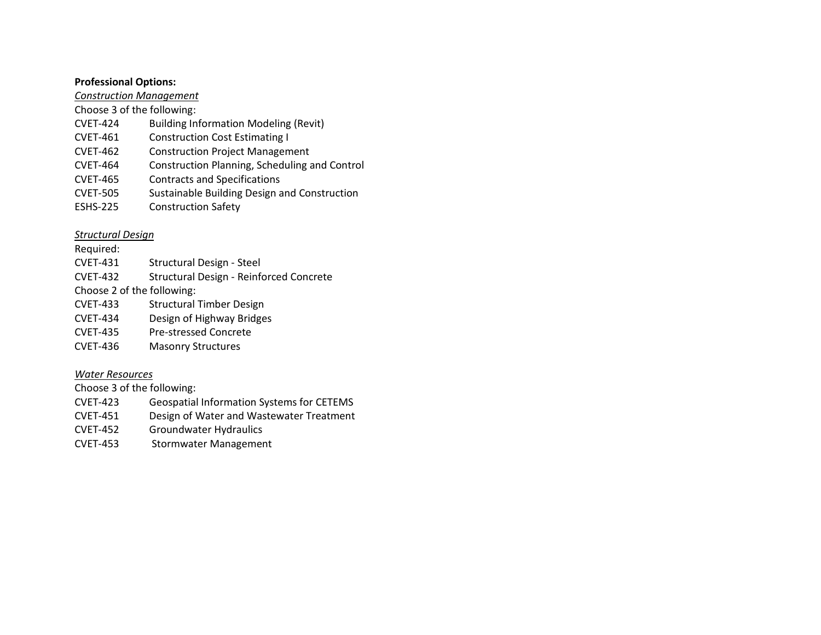#### **Professional Options:**

#### *Construction Management*

Choose 3 of the following:

- CVET-424 Building Information Modeling (Revit)
- CVET-461 Construction Cost Estimating I
- CVET-462 Construction Project Management
- CVET-464 Construction Planning, Scheduling and Control
- CVET-465 Contracts and Specifications
- CVET-505 Sustainable Building Design and Construction
- ESHS-225 Construction Safety

#### *Structural Design*

Required:

- CVET-431 Structural Design Steel
- CVET-432 Structural Design Reinforced Concrete

Choose 2 of the following:

- CVET-433 Structural Timber Design
- CVET-434 Design of Highway Bridges
- CVET-435 Pre-stressed Concrete
- CVET-436 Masonry Structures

#### *Water Resources*

Choose 3 of the following:

- CVET-423 Geospatial Information Systems for CETEMS
- CVET-451 Design of Water and Wastewater Treatment
- CVET-452 Groundwater Hydraulics
- CVET-453 Stormwater Management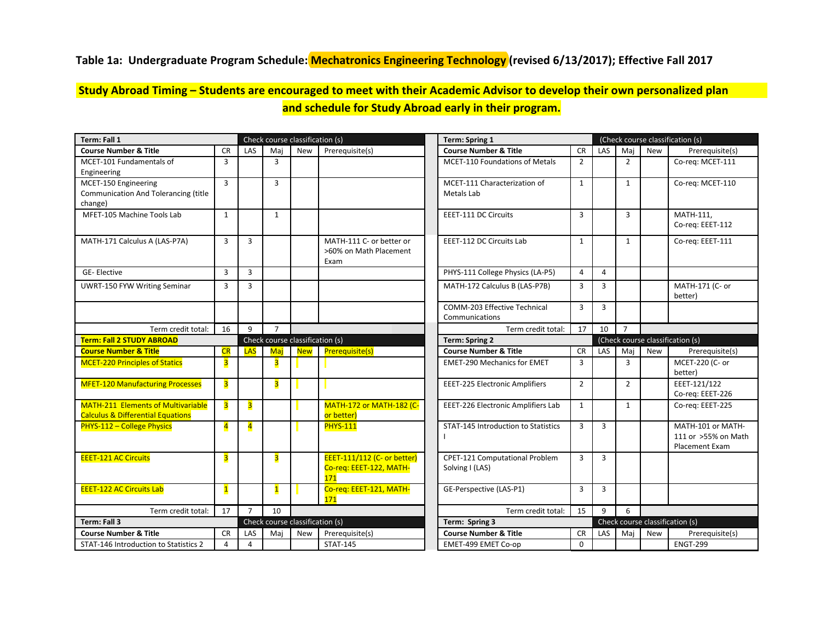#### <span id="page-5-0"></span>**Table 1a: Undergraduate Program Schedule: Mechatronics Engineering Technology (revised 6/13/2017); Effective Fall 2017**

### **Study Abroad Timing – Students are encouraged to meet with their Academic Advisor to develop their own personalized plan and schedule for Study Abroad early in their program.**

| Term: Fall 1                                                                              |                         |                         |                         | Check course classification (s) |                                                               | Term: Spring 1                                    |                | (Check course classification (s) |                |            |                                                                   |
|-------------------------------------------------------------------------------------------|-------------------------|-------------------------|-------------------------|---------------------------------|---------------------------------------------------------------|---------------------------------------------------|----------------|----------------------------------|----------------|------------|-------------------------------------------------------------------|
| <b>Course Number &amp; Title</b>                                                          | <b>CR</b>               | LAS                     | Maj                     | <b>New</b>                      | Prerequisite(s)                                               | <b>Course Number &amp; Title</b>                  | <b>CR</b>      | LAS                              | Maj            | New        | Prerequisite(s)                                                   |
| MCET-101 Fundamentals of<br>Engineering                                                   | 3                       |                         | 3                       |                                 |                                                               | <b>MCET-110 Foundations of Metals</b>             | $\overline{2}$ |                                  | $\overline{2}$ |            | Co-reg: MCET-111                                                  |
| MCET-150 Engineering<br><b>Communication And Tolerancing (title</b><br>change)            | 3                       |                         | 3                       |                                 |                                                               | MCET-111 Characterization of<br>Metals Lab        | $\mathbf{1}$   |                                  | $\mathbf{1}$   |            | Co-req: MCET-110                                                  |
| MFET-105 Machine Tools Lab                                                                | $\mathbf{1}$            |                         | $\mathbf{1}$            |                                 |                                                               | <b>EEET-111 DC Circuits</b>                       | $\overline{3}$ |                                  | $\overline{3}$ |            | MATH-111,<br>Co-req: EEET-112                                     |
| MATH-171 Calculus A (LAS-P7A)                                                             | 3                       | $\overline{3}$          |                         |                                 | MATH-111 C- or better or<br>>60% on Math Placement<br>Exam    | EEET-112 DC Circuits Lab                          | $\mathbf{1}$   |                                  | $\mathbf{1}$   |            | Co-reg: EEET-111                                                  |
| <b>GE-Elective</b>                                                                        | 3                       | $\overline{3}$          |                         |                                 |                                                               | PHYS-111 College Physics (LA-P5)                  | $\overline{4}$ | $\overline{4}$                   |                |            |                                                                   |
| <b>UWRT-150 FYW Writing Seminar</b>                                                       | 3                       | 3                       |                         |                                 |                                                               | MATH-172 Calculus B (LAS-P7B)                     | $\overline{3}$ | 3                                |                |            | MATH-171 (C- or<br>better)                                        |
|                                                                                           |                         |                         |                         |                                 |                                                               | COMM-203 Effective Technical<br>Communications    | 3              | 3                                |                |            |                                                                   |
| Term credit total:                                                                        | 16                      | 9                       | $\overline{7}$          |                                 |                                                               | Term credit total:                                | 17             | 10                               | $\overline{7}$ |            |                                                                   |
| <b>Term: Fall 2 STUDY ABROAD</b>                                                          |                         |                         |                         | Check course classification (s) |                                                               | <b>Term: Spring 2</b>                             |                |                                  |                |            | (Check course classification (s)                                  |
| <b>Course Number &amp; Title</b>                                                          | CR                      | LAS                     | Maj                     | <b>New</b>                      | Prerequisite(s)                                               | <b>Course Number &amp; Title</b>                  | <b>CR</b>      | LAS                              | Maj            | <b>New</b> | Prerequisite(s)                                                   |
| <b>MCET-220 Principles of Statics</b>                                                     | 3                       |                         | 3                       |                                 |                                                               | <b>EMET-290 Mechanics for EMET</b>                | $\overline{3}$ |                                  | $\overline{3}$ |            | MCET-220 (C- or<br>better)                                        |
| <b>MFET-120 Manufacturing Processes</b>                                                   | 3                       |                         | 3                       |                                 |                                                               | <b>EEET-225 Electronic Amplifiers</b>             | $\overline{2}$ |                                  | $\overline{2}$ |            | EEET-121/122<br>Co-reg: EEET-226                                  |
| <b>MATH-211 Elements of Multivariable</b><br><b>Calculus &amp; Differential Equations</b> | $\overline{\mathbf{3}}$ | $\overline{\mathbf{3}}$ |                         |                                 | <b>MATH-172 or MATH-182 (C-</b><br>or better)                 | EEET-226 Electronic Amplifiers Lab                | $\mathbf{1}$   |                                  | $\mathbf{1}$   |            | Co-reg: EEET-225                                                  |
| PHYS-112 - College Physics                                                                | $\overline{\mathbf{4}}$ | $\overline{4}$          |                         |                                 | <b>PHYS-111</b>                                               | <b>STAT-145 Introduction to Statistics</b>        | $\overline{3}$ | 3                                |                |            | MATH-101 or MATH-<br>111 or >55% on Math<br><b>Placement Exam</b> |
| <b>EEET-121 AC Circuits</b>                                                               | 3                       |                         | $\overline{\mathbf{3}}$ |                                 | EEET-111/112 (C- or better)<br>Co-reg: EEET-122, MATH-<br>171 | CPET-121 Computational Problem<br>Solving I (LAS) | $\overline{3}$ | 3                                |                |            |                                                                   |
| <b>EEET-122 AC Circuits Lab</b>                                                           | $\overline{\mathbf{1}}$ |                         | $\mathbf{1}$            |                                 | Co-req: EEET-121, MATH-<br>171                                | GE-Perspective (LAS-P1)                           | $\overline{3}$ | $\overline{3}$                   |                |            |                                                                   |
| Term credit total:                                                                        | 17                      | $\overline{7}$          | 10                      |                                 |                                                               | Term credit total:                                | 15             | 9                                | 6              |            |                                                                   |
| Term: Fall 3                                                                              |                         |                         |                         | Check course classification (s) |                                                               | Term: Spring 3                                    |                |                                  |                |            | Check course classification (s)                                   |
| <b>Course Number &amp; Title</b>                                                          | <b>CR</b>               | LAS                     | Mai                     | New                             | Prerequisite(s)                                               | <b>Course Number &amp; Title</b>                  | <b>CR</b>      | LAS                              | Mai            | New        | Prerequisite(s)                                                   |
| STAT-146 Introduction to Statistics 2                                                     | $\overline{4}$          | $\overline{4}$          |                         |                                 | <b>STAT-145</b>                                               | EMET-499 EMET Co-op                               | $\mathbf 0$    |                                  |                |            | <b>ENGT-299</b>                                                   |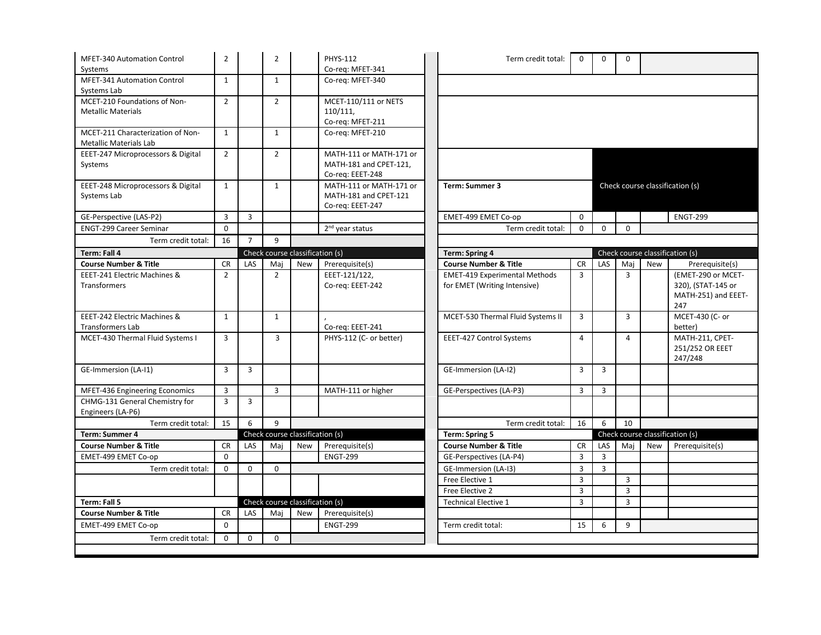| <b>MFET-340 Automation Control</b>                                 | $\overline{2}$ |                | $\overline{2}$                  |            | <b>PHYS-112</b>                            | Term credit total:                   | 0              | 0              | $\Omega$       |            |                                                  |
|--------------------------------------------------------------------|----------------|----------------|---------------------------------|------------|--------------------------------------------|--------------------------------------|----------------|----------------|----------------|------------|--------------------------------------------------|
| Systems                                                            |                |                |                                 |            | Co-req: MFET-341                           |                                      |                |                |                |            |                                                  |
| MFET-341 Automation Control<br>Systems Lab                         | $\mathbf{1}$   |                | $\mathbf{1}$                    |            | Co-reg: MFET-340                           |                                      |                |                |                |            |                                                  |
| MCET-210 Foundations of Non-                                       | $\overline{2}$ |                | $\overline{2}$                  |            | MCET-110/111 or NETS                       |                                      |                |                |                |            |                                                  |
| <b>Metallic Materials</b>                                          |                |                |                                 |            | 110/111,                                   |                                      |                |                |                |            |                                                  |
|                                                                    |                |                |                                 |            | Co-req: MFET-211                           |                                      |                |                |                |            |                                                  |
| MCET-211 Characterization of Non-<br><b>Metallic Materials Lab</b> | $\mathbf{1}$   |                | $\mathbf{1}$                    |            | Co-req: MFET-210                           |                                      |                |                |                |            |                                                  |
| EEET-247 Microprocessors & Digital                                 | $\overline{2}$ |                | $\overline{2}$                  |            | MATH-111 or MATH-171 or                    |                                      |                |                |                |            |                                                  |
| Systems                                                            |                |                |                                 |            | MATH-181 and CPET-121,<br>Co-req: EEET-248 |                                      |                |                |                |            |                                                  |
| EEET-248 Microprocessors & Digital                                 | $\mathbf{1}$   |                | $\mathbf{1}$                    |            | MATH-111 or MATH-171 or                    | Term: Summer 3                       |                |                |                |            | Check course classification (s)                  |
| Systems Lab                                                        |                |                |                                 |            | MATH-181 and CPET-121<br>Co-req: EEET-247  |                                      |                |                |                |            |                                                  |
| GE-Perspective (LAS-P2)                                            | 3              | 3              |                                 |            |                                            | EMET-499 EMET Co-op                  | $\mathbf 0$    |                |                |            | <b>ENGT-299</b>                                  |
| <b>ENGT-299 Career Seminar</b>                                     | $\Omega$       |                |                                 |            | 2 <sup>nd</sup> year status                | Term credit total:                   | $\Omega$       | $\Omega$       | $\Omega$       |            |                                                  |
| Term credit total:                                                 | 16             | $\overline{7}$ | 9                               |            |                                            |                                      |                |                |                |            |                                                  |
| Term: Fall 4                                                       |                |                | Check course classification (s) |            |                                            | <b>Term: Spring 4</b>                |                |                |                |            | Check course classification (s)                  |
| <b>Course Number &amp; Title</b>                                   | <b>CR</b>      | LAS            | Mai                             | New        | Prerequisite(s)                            | <b>Course Number &amp; Title</b>     | <b>CR</b>      | LAS            | Maj            | <b>New</b> | Prerequisite(s)                                  |
| EEET-241 Electric Machines &                                       | $\overline{2}$ |                | $\overline{2}$                  |            | EEET-121/122,                              | <b>EMET-419 Experimental Methods</b> | $\overline{3}$ |                | 3              |            | (EMET-290 or MCET-                               |
| <b>Transformers</b>                                                |                |                |                                 |            | Co-req: EEET-242                           | for EMET (Writing Intensive)         |                |                |                |            | 320), (STAT-145 or<br>MATH-251) and EEET-<br>247 |
| EEET-242 Electric Machines &<br><b>Transformers Lab</b>            | $\mathbf{1}$   |                | 1                               |            | Co-req: EEET-241                           | MCET-530 Thermal Fluid Systems II    | 3              |                | 3              |            | MCET-430 (C- or<br>better)                       |
| MCET-430 Thermal Fluid Systems I                                   | $\overline{3}$ |                | 3                               |            | PHYS-112 (C- or better)                    | EEET-427 Control Systems             | $\overline{4}$ |                | $\overline{4}$ |            | MATH-211, CPET-<br>251/252 OR EEET<br>247/248    |
| GE-Immersion (LA-I1)                                               | $\overline{3}$ | $\overline{3}$ |                                 |            |                                            | GE-Immersion (LA-I2)                 | 3              | $\overline{3}$ |                |            |                                                  |
| MFET-436 Engineering Economics                                     | $\overline{3}$ |                | $\overline{3}$                  |            | MATH-111 or higher                         | GE-Perspectives (LA-P3)              | $\overline{3}$ | 3              |                |            |                                                  |
| CHMG-131 General Chemistry for<br>Engineers (LA-P6)                | $\overline{3}$ | $\overline{3}$ |                                 |            |                                            |                                      |                |                |                |            |                                                  |
| Term credit total:                                                 | 15             | 6              | $\overline{9}$                  |            |                                            | Term credit total:                   | 16             | 6              | 10             |            |                                                  |
| Term: Summer 4                                                     |                |                | Check course classification (s) |            |                                            | <b>Term: Spring 5</b>                |                |                |                |            | Check course classification (s)                  |
| <b>Course Number &amp; Title</b>                                   | <b>CR</b>      | LAS            | Maj                             | New        | Prerequisite(s)                            | <b>Course Number &amp; Title</b>     | <b>CR</b>      | LAS            | Maj            | New        | Prerequisite(s)                                  |
| EMET-499 EMET Co-op                                                | $\Omega$       |                |                                 |            | <b>ENGT-299</b>                            | GE-Perspectives (LA-P4)              | $\overline{3}$ | $\overline{3}$ |                |            |                                                  |
| Term credit total:                                                 | $\Omega$       | $\Omega$       | $\Omega$                        |            |                                            | GE-Immersion (LA-I3)                 | $\overline{3}$ | 3              |                |            |                                                  |
|                                                                    |                |                |                                 |            |                                            | Free Elective 1                      | $\overline{3}$ |                | 3              |            |                                                  |
|                                                                    |                |                |                                 |            |                                            | Free Elective 2                      | 3              |                | 3              |            |                                                  |
| Term: Fall 5                                                       |                |                |                                 |            | Check course classification (s)            | <b>Technical Elective 1</b>          | $\overline{3}$ |                | 3              |            |                                                  |
| <b>Course Number &amp; Title</b>                                   | <b>CR</b>      | LAS            | Maj                             | <b>New</b> | Prerequisite(s)                            |                                      |                |                |                |            |                                                  |
| EMET-499 EMET Co-op                                                | $\mathbf 0$    |                |                                 |            | <b>ENGT-299</b>                            | Term credit total:                   | 15             | 6              | 9              |            |                                                  |
| Term credit total:                                                 | $\Omega$       | $\mathbf 0$    | $\mathbf 0$                     |            |                                            |                                      |                |                |                |            |                                                  |
|                                                                    |                |                |                                 |            |                                            |                                      |                |                |                |            |                                                  |
|                                                                    |                |                |                                 |            |                                            |                                      |                |                |                |            |                                                  |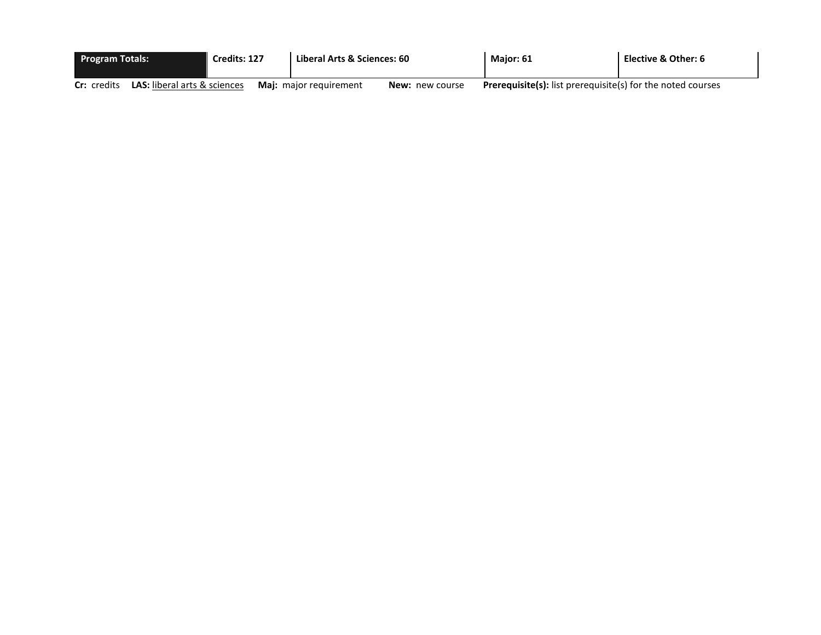|             | <b>Program Totals:</b>              |  | Credits: 127 | Liberal Arts & Sciences: 60   |                        | <b>Maior: 61</b>                                                   | Elective & Other: 6 |
|-------------|-------------------------------------|--|--------------|-------------------------------|------------------------|--------------------------------------------------------------------|---------------------|
| Cr: credits | <b>LAS:</b> liberal arts & sciences |  |              | <b>Maj:</b> major requirement | <b>New:</b> new course | <b>Prerequisite(s):</b> list prerequisite(s) for the noted courses |                     |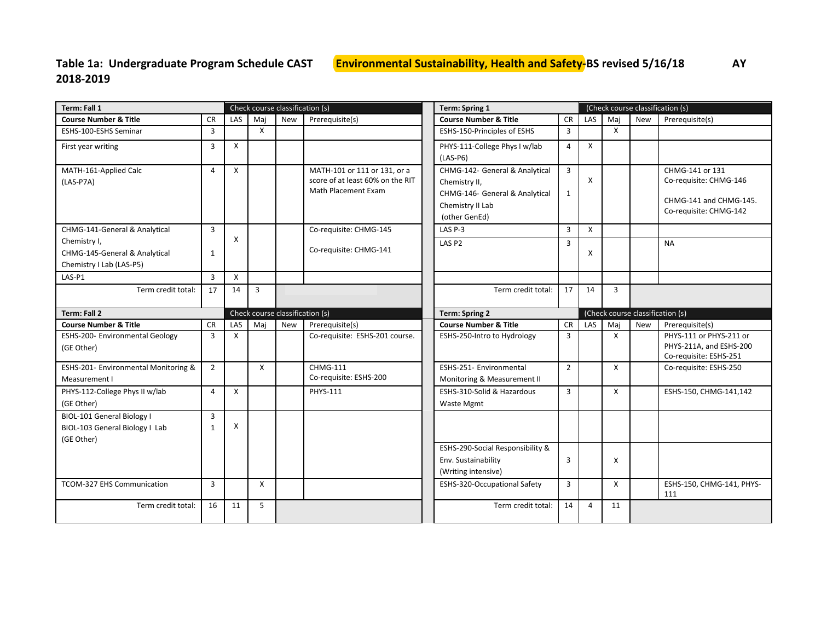# <span id="page-8-0"></span>**2018-2019**

| Term: Fall 1                                  |                |     |              | Check course classification (s) |                                                         | <b>Term: Spring 1</b>            | (Check course classification (s) |     |              |            |                                                   |
|-----------------------------------------------|----------------|-----|--------------|---------------------------------|---------------------------------------------------------|----------------------------------|----------------------------------|-----|--------------|------------|---------------------------------------------------|
| <b>Course Number &amp; Title</b>              | <b>CR</b>      | LAS | Mai          | <b>New</b>                      | Prerequisite(s)                                         | <b>Course Number &amp; Title</b> | <b>CR</b>                        | LAS | Maj          | <b>New</b> | Prerequisite(s)                                   |
| ESHS-100-ESHS Seminar                         | $\overline{3}$ |     | $\mathsf{x}$ |                                 |                                                         | ESHS-150-Principles of ESHS      | 3                                |     | $\mathsf{x}$ |            |                                                   |
| First year writing                            | 3              | X   |              |                                 |                                                         | PHYS-111-College Phys I w/lab    | 4                                | X   |              |            |                                                   |
|                                               |                |     |              |                                 |                                                         | $(LAS-P6)$                       |                                  |     |              |            |                                                   |
| MATH-161-Applied Calc                         | 4              | X   |              |                                 | MATH-101 or 111 or 131, or a                            | CHMG-142- General & Analytical   | $\overline{3}$                   |     |              |            | CHMG-141 or 131                                   |
| $(LAS-P7A)$                                   |                |     |              |                                 | score of at least 60% on the RIT<br>Math Placement Exam | Chemistry II,                    |                                  | X   |              |            | Co-requisite: CHMG-146                            |
|                                               |                |     |              |                                 |                                                         | CHMG-146- General & Analytical   | 1                                |     |              |            | CHMG-141 and CHMG-145.                            |
|                                               |                |     |              |                                 |                                                         | Chemistry II Lab                 |                                  |     |              |            | Co-requisite: CHMG-142                            |
|                                               |                |     |              |                                 |                                                         | (other GenEd)<br>LAS P-3         |                                  | X   |              |            |                                                   |
| CHMG-141-General & Analytical<br>Chemistry I, | $\overline{3}$ | X   |              |                                 | Co-requisite: CHMG-145                                  |                                  | $\overline{\mathbf{3}}$          |     |              |            |                                                   |
| CHMG-145-General & Analytical                 | $\mathbf{1}$   |     |              |                                 | Co-requisite: CHMG-141                                  | LAS <sub>P2</sub>                | $\overline{3}$                   | X   |              |            | <b>NA</b>                                         |
| Chemistry I Lab (LAS-P5)                      |                |     |              |                                 |                                                         |                                  |                                  |     |              |            |                                                   |
| LAS-P1                                        | $\overline{3}$ | X   |              |                                 |                                                         |                                  |                                  |     |              |            |                                                   |
| Term credit total:                            | 17             | 14  | 3            |                                 |                                                         | Term credit total:               | 17                               | 14  | 3            |            |                                                   |
|                                               |                |     |              |                                 |                                                         |                                  |                                  |     |              |            |                                                   |
| Term: Fall 2                                  |                |     |              | Check course classification (s) |                                                         | <b>Term: Spring 2</b>            |                                  |     |              |            | (Check course classification (s)                  |
| <b>Course Number &amp; Title</b>              | <b>CR</b>      | LAS | Mai          | <b>New</b>                      | Prerequisite(s)                                         | <b>Course Number &amp; Title</b> | <b>CR</b>                        | LAS | Maj          | <b>New</b> | Prerequisite(s)                                   |
| ESHS-200- Environmental Geology               | $\overline{3}$ | X   |              |                                 | Co-requisite: ESHS-201 course.                          | ESHS-250-Intro to Hydrology      | 3                                |     | $\mathsf{x}$ |            | PHYS-111 or PHYS-211 or                           |
| (GE Other)                                    |                |     |              |                                 |                                                         |                                  |                                  |     |              |            | PHYS-211A, and ESHS-200<br>Co-requisite: ESHS-251 |
| ESHS-201- Environmental Monitoring &          | $\overline{2}$ |     | $\mathsf{x}$ |                                 | <b>CHMG-111</b>                                         | ESHS-251- Environmental          | $\overline{2}$                   |     | X            |            | Co-requisite: ESHS-250                            |
| Measurement I                                 |                |     |              |                                 | Co-requisite: ESHS-200                                  | Monitoring & Measurement II      |                                  |     |              |            |                                                   |
| PHYS-112-College Phys II w/lab                | 4              | X   |              |                                 | PHYS-111                                                | ESHS-310-Solid & Hazardous       | 3                                |     | X            |            | ESHS-150, CHMG-141,142                            |
| (GE Other)                                    |                |     |              |                                 |                                                         | Waste Mgmt                       |                                  |     |              |            |                                                   |
| BIOL-101 General Biology I                    | $\overline{3}$ |     |              |                                 |                                                         |                                  |                                  |     |              |            |                                                   |
| BIOL-103 General Biology I Lab                | $\mathbf{1}$   | X   |              |                                 |                                                         |                                  |                                  |     |              |            |                                                   |
| (GE Other)                                    |                |     |              |                                 |                                                         | ESHS-290-Social Responsibility & |                                  |     |              |            |                                                   |
|                                               |                |     |              |                                 |                                                         | Env. Sustainability              | 3                                |     | X            |            |                                                   |
|                                               |                |     |              |                                 |                                                         | (Writing intensive)              |                                  |     |              |            |                                                   |
| <b>TCOM-327 EHS Communication</b>             | $\overline{3}$ |     | X            |                                 |                                                         | ESHS-320-Occupational Safety     | 3                                |     | X            |            | ESHS-150, CHMG-141, PHYS-                         |
|                                               |                |     |              |                                 |                                                         |                                  |                                  |     |              |            | 111                                               |
| Term credit total:                            | 16             | 11  | 5            |                                 |                                                         | Term credit total:               | 14                               | 4   | 11           |            |                                                   |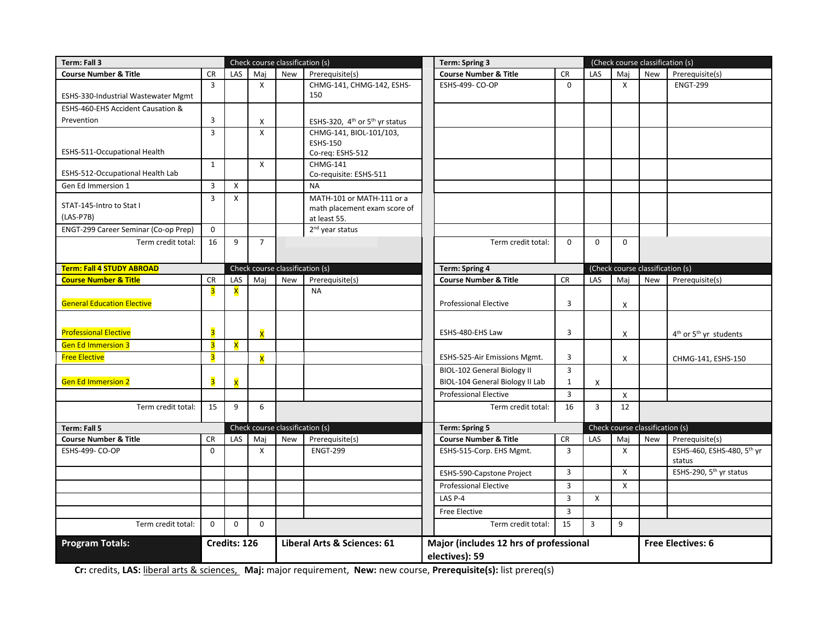| Term: Fall 3                            | Check course classification (s) |                         |                                 |     |                                                                           | <b>Term: Spring 3</b> |                                                                |                                |                           | (Check course classification (s) |                                  |                                                |
|-----------------------------------------|---------------------------------|-------------------------|---------------------------------|-----|---------------------------------------------------------------------------|-----------------------|----------------------------------------------------------------|--------------------------------|---------------------------|----------------------------------|----------------------------------|------------------------------------------------|
| <b>Course Number &amp; Title</b>        | <b>CR</b>                       | LAS                     | Mai                             | New | Prerequisite(s)                                                           |                       | <b>Course Number &amp; Title</b>                               | <b>CR</b>                      | LAS                       | Mai                              | <b>New</b>                       | Prerequisite(s)                                |
| ESHS-330-Industrial Wastewater Mgmt     | $\overline{3}$                  |                         | $\boldsymbol{\mathsf{x}}$       |     | CHMG-141, CHMG-142, ESHS-<br>150                                          |                       | <b>ESHS-499- CO-OP</b>                                         | $\mathbf 0$                    |                           | X                                |                                  | <b>ENGT-299</b>                                |
| ESHS-460-EHS Accident Causation &       |                                 |                         |                                 |     |                                                                           |                       |                                                                |                                |                           |                                  |                                  |                                                |
| Prevention                              | 3                               |                         | X                               |     | ESHS-320, 4 <sup>th</sup> or 5 <sup>th</sup> yr status                    |                       |                                                                |                                |                           |                                  |                                  |                                                |
| ESHS-511-Occupational Health            | $\overline{3}$                  |                         | $\boldsymbol{\mathsf{x}}$       |     | CHMG-141, BIOL-101/103,<br><b>ESHS-150</b><br>Co-req: ESHS-512            |                       |                                                                |                                |                           |                                  |                                  |                                                |
| ESHS-512-Occupational Health Lab        | 1                               |                         | $\boldsymbol{\mathsf{X}}$       |     | CHMG-141<br>Co-requisite: ESHS-511                                        |                       |                                                                |                                |                           |                                  |                                  |                                                |
| Gen Ed Immersion 1                      | $\overline{3}$                  | Χ                       |                                 |     | <b>NA</b>                                                                 |                       |                                                                |                                |                           |                                  |                                  |                                                |
| STAT-145-Intro to Stat I<br>$(LAS-P7B)$ | $\overline{3}$                  | X                       |                                 |     | MATH-101 or MATH-111 or a<br>math placement exam score of<br>at least 55. |                       |                                                                |                                |                           |                                  |                                  |                                                |
| ENGT-299 Career Seminar (Co-op Prep)    | $\mathbf 0$                     |                         |                                 |     | 2 <sup>nd</sup> year status                                               |                       |                                                                |                                |                           |                                  |                                  |                                                |
| Term credit total:                      | 16                              | 9                       | $\overline{7}$                  |     |                                                                           |                       | Term credit total:                                             | $\mathbf 0$                    | $\mathbf 0$               | $\Omega$                         |                                  |                                                |
| <b>Term: Fall 4 STUDY ABROAD</b>        |                                 |                         | Check course classification (s) |     |                                                                           |                       | <b>Term: Spring 4</b>                                          |                                |                           |                                  | (Check course classification (s) |                                                |
| <b>Course Number &amp; Title</b>        | <b>CR</b>                       | LAS                     | Maj                             | New | Prerequisite(s)                                                           |                       | <b>Course Number &amp; Title</b>                               | <b>CR</b>                      | LAS                       | Mai                              | New                              | Prerequisite(s)                                |
| <b>General Education Elective</b>       | 3                               | X                       |                                 |     | <b>NA</b>                                                                 |                       | <b>Professional Elective</b>                                   | 3                              |                           | X                                |                                  |                                                |
| <b>Professional Elective</b>            | $\overline{\mathbf{3}}$         |                         | $\overline{\mathsf{x}}$         |     |                                                                           |                       | ESHS-480-EHS Law                                               | 3                              |                           | X                                |                                  | 4 <sup>th</sup> or 5 <sup>th</sup> yr students |
| <b>Gen Ed Immersion 3</b>               | $\overline{\mathbf{3}}$         | $\overline{\mathsf{x}}$ |                                 |     |                                                                           |                       |                                                                |                                |                           |                                  |                                  |                                                |
| <b>Free Elective</b>                    | $\overline{\mathbf{3}}$         |                         | $\overline{\mathsf{x}}$         |     |                                                                           |                       | ESHS-525-Air Emissions Mgmt.                                   | 3                              |                           | X                                |                                  | CHMG-141, ESHS-150                             |
| <b>Gen Ed Immersion 2</b>               | $\overline{\mathbf{3}}$         | $\overline{\mathbf{x}}$ |                                 |     |                                                                           |                       | BIOL-102 General Biology II<br>BIOL-104 General Biology II Lab | $\overline{3}$<br>$\mathbf{1}$ | Х                         |                                  |                                  |                                                |
|                                         |                                 |                         |                                 |     |                                                                           |                       | <b>Professional Elective</b>                                   | $\overline{3}$                 |                           | X                                |                                  |                                                |
| Term credit total:                      | 15                              | 9                       | 6                               |     |                                                                           |                       | Term credit total:                                             | 16                             | $\overline{3}$            | 12                               |                                  |                                                |
| Term: Fall 5                            |                                 |                         | Check course classification (s) |     |                                                                           |                       | Term: Spring 5                                                 |                                |                           |                                  | Check course classification (s)  |                                                |
| <b>Course Number &amp; Title</b>        | <b>CR</b>                       | LAS                     | Mai                             | New | Prerequisite(s)                                                           |                       | <b>Course Number &amp; Title</b>                               | <b>CR</b>                      | LAS                       | Mai                              | New                              | Prerequisite(s)                                |
| <b>ESHS-499- CO-OP</b>                  | $\mathbf 0$                     |                         | $\boldsymbol{\mathsf{X}}$       |     | <b>ENGT-299</b>                                                           |                       | ESHS-515-Corp. EHS Mgmt.                                       | $\overline{3}$                 |                           | X                                |                                  | ESHS-460, ESHS-480, 5th yr<br>status           |
|                                         |                                 |                         |                                 |     |                                                                           |                       | ESHS-590-Capstone Project                                      | $\overline{3}$                 |                           | $\mathsf{x}$                     |                                  | ESHS-290, 5 <sup>th</sup> yr status            |
|                                         |                                 |                         |                                 |     |                                                                           |                       | <b>Professional Elective</b>                                   | $\overline{3}$                 |                           | X                                |                                  |                                                |
|                                         |                                 |                         |                                 |     |                                                                           |                       | LAS P-4                                                        | $\overline{3}$                 | $\boldsymbol{\mathsf{X}}$ |                                  |                                  |                                                |
|                                         |                                 |                         |                                 |     |                                                                           |                       | Free Elective                                                  | 3                              |                           |                                  |                                  |                                                |
| Term credit total:                      | $\mathbf 0$                     | $\Omega$                | $\mathbf 0$                     |     |                                                                           |                       | Term credit total:                                             | 15                             | 3                         | 9                                |                                  |                                                |
| <b>Program Totals:</b>                  |                                 | Credits: 126            |                                 |     | Liberal Arts & Sciences: 61                                               |                       | Major (includes 12 hrs of professional<br>electives): 59       |                                |                           |                                  |                                  | <b>Free Electives: 6</b>                       |

**Cr:** credits, **LAS:** liberal arts & sciences, **Maj:** major requirement, **New:** new course, **Prerequisite(s):** list prereq(s)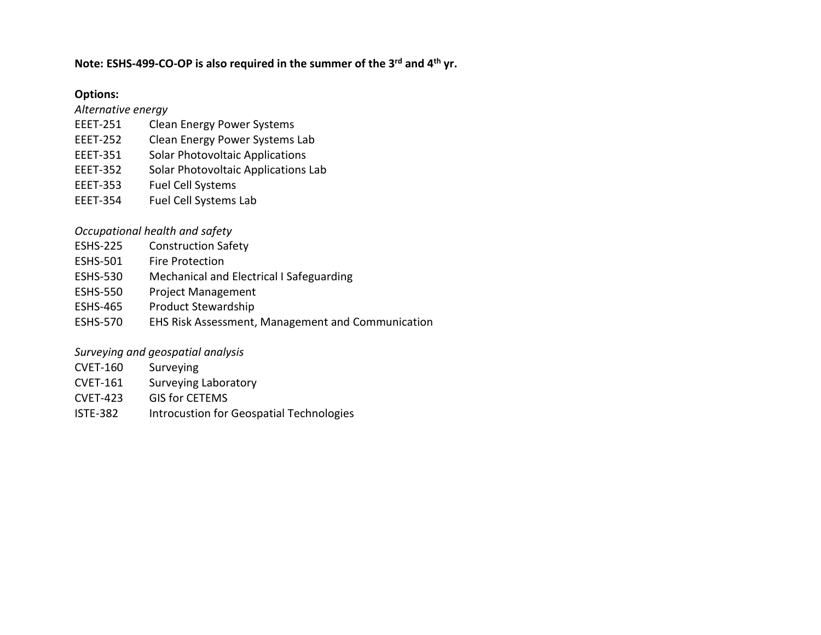#### **Note: ESHS-499-CO-OP is also required in the summer of the 3rd and 4th yr.**

#### **Options:**

*Alternative energy*

- EEET-251 Clean Energy Power Systems
- EEET-252 Clean Energy Power Systems Lab
- EEET-351 Solar Photovoltaic Applications
- EEET-352 Solar Photovoltaic Applications Lab
- EEET-353 Fuel Cell Systems
- EEET-354 Fuel Cell Systems Lab

#### *Occupational health and safety*

- ESHS-225 Construction Safety
- ESHS-501 Fire Protection
- ESHS-530 Mechanical and Electrical I Safeguarding
- ESHS-550 Project Management
- ESHS-465 Product Stewardship
- ESHS-570 EHS Risk Assessment, Management and Communication

#### *Surveying and geospatial analysis*

- CVET-160 Surveying
- CVET-161 Surveying Laboratory
- CVET-423 GIS for CETEMS
- ISTE-382 Introcustion for Geospatial Technologies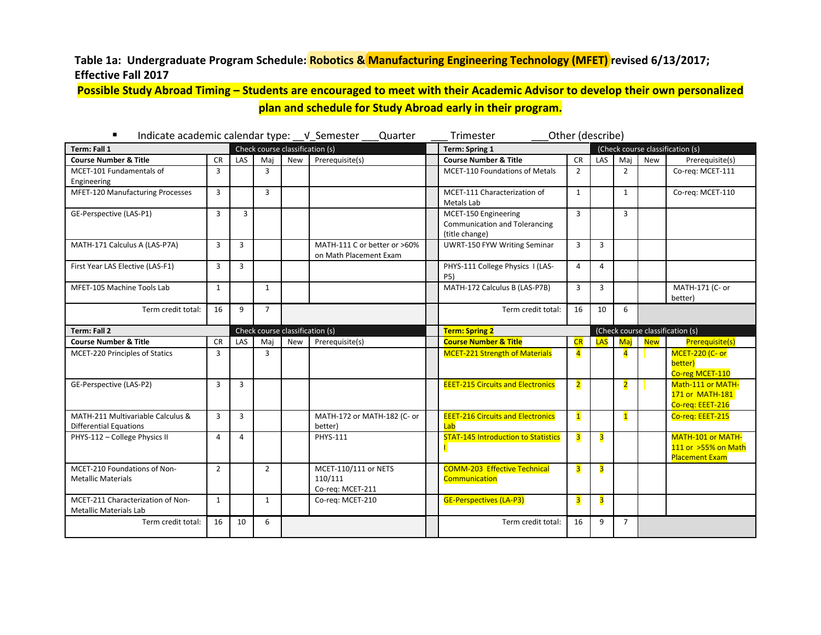#### <span id="page-11-0"></span>**Table 1a: Undergraduate Program Schedule: Robotics & Manufacturing Engineering Technology (MFET) revised 6/13/2017; Effective Fall 2017**

**Possible Study Abroad Timing – Students are encouraged to meet with their Academic Advisor to develop their own personalized plan and schedule for Study Abroad early in their program.**

| ٠<br>Indicate academic calendar type: __ v_Semester                | Quarter        | Trimester      |                | Other (describe)                |                                                        |                                                                                |                         |                         |                         |            |                                                                   |
|--------------------------------------------------------------------|----------------|----------------|----------------|---------------------------------|--------------------------------------------------------|--------------------------------------------------------------------------------|-------------------------|-------------------------|-------------------------|------------|-------------------------------------------------------------------|
| Term: Fall 1                                                       |                |                |                | Check course classification (s) |                                                        | <b>Term: Spring 1</b>                                                          |                         |                         |                         |            | (Check course classification (s)                                  |
| <b>Course Number &amp; Title</b>                                   | <b>CR</b>      | LAS            | Mai            | <b>New</b>                      | Prerequisite(s)                                        | <b>Course Number &amp; Title</b>                                               | <b>CR</b>               | LAS                     | Maj                     | New        | Prerequisite(s)                                                   |
| MCET-101 Fundamentals of<br>Engineering                            | $\overline{3}$ |                | $\overline{3}$ |                                 |                                                        | <b>MCET-110 Foundations of Metals</b>                                          | $\overline{2}$          |                         | $\overline{2}$          |            | Co-reg: MCET-111                                                  |
| MFET-120 Manufacturing Processes                                   | $\overline{3}$ |                | $\overline{3}$ |                                 |                                                        | MCET-111 Characterization of<br>Metals Lab                                     | $\mathbf{1}$            |                         | $\mathbf{1}$            |            | Co-req: MCET-110                                                  |
| GE-Perspective (LAS-P1)                                            | $\overline{3}$ | 3              |                |                                 |                                                        | MCET-150 Engineering<br><b>Communication and Tolerancing</b><br>(title change) | 3                       |                         | 3                       |            |                                                                   |
| MATH-171 Calculus A (LAS-P7A)                                      | $\overline{3}$ | $\overline{3}$ |                |                                 | MATH-111 C or better or >60%<br>on Math Placement Exam | <b>UWRT-150 FYW Writing Seminar</b>                                            | $\overline{3}$          | $\overline{3}$          |                         |            |                                                                   |
| First Year LAS Elective (LAS-F1)                                   | 3              | 3              |                |                                 |                                                        | PHYS-111 College Physics I (LAS-<br><b>P5)</b>                                 | $\overline{a}$          | 4                       |                         |            |                                                                   |
| MFET-105 Machine Tools Lab                                         | 1              |                | $\mathbf{1}$   |                                 |                                                        | MATH-172 Calculus B (LAS-P7B)                                                  | 3                       | 3                       |                         |            | MATH-171 (C- or<br>better)                                        |
| Term credit total:                                                 | 16             | 9              | $\overline{7}$ |                                 |                                                        | Term credit total:                                                             | 16                      | 10                      | 6                       |            |                                                                   |
| Term: Fall 2                                                       |                |                |                | Check course classification (s) |                                                        | <b>Term: Spring 2</b>                                                          |                         |                         |                         |            | (Check course classification (s)                                  |
| <b>Course Number &amp; Title</b>                                   | <b>CR</b>      | LAS            | Mai            | <b>New</b>                      | Prerequisite(s)                                        | <b>Course Number &amp; Title</b>                                               | CR                      |                         | LAS Maj                 | <b>New</b> | Prerequisite(s)                                                   |
| MCET-220 Principles of Statics                                     | 3              |                | 3              |                                 |                                                        | <b>MCET-221 Strength of Materials</b>                                          | $\overline{4}$          |                         | $\overline{4}$          |            | <b>MCET-220 (C- or</b><br>better)<br>Co-reg MCET-110              |
| GE-Perspective (LAS-P2)                                            | $\overline{3}$ | $\overline{3}$ |                |                                 |                                                        | <b>EEET-215 Circuits and Electronics</b>                                       | $\overline{2}$          |                         | $\overline{\mathbf{2}}$ |            | Math-111 or MATH-<br>171 or MATH-181<br>Co-reg: EEET-216          |
| MATH-211 Multivariable Calculus &<br><b>Differential Equations</b> | $\overline{3}$ | $\overline{3}$ |                |                                 | MATH-172 or MATH-182 (C- or<br>better)                 | <b>EEET-216 Circuits and Electronics</b><br>Lab                                | $\mathbf{1}$            |                         | $\mathbf{1}$            |            | Co-req: EEET-215                                                  |
| PHYS-112 - College Physics II                                      | $\overline{4}$ | 4              |                |                                 | <b>PHYS-111</b>                                        | <b>STAT-145 Introduction to Statistics</b>                                     | $\overline{\mathbf{3}}$ | $\overline{\mathbf{3}}$ |                         |            | MATH-101 or MATH-<br>111 or >55% on Math<br><b>Placement Exam</b> |
| MCET-210 Foundations of Non-<br><b>Metallic Materials</b>          | $\overline{2}$ |                | $\overline{2}$ |                                 | MCET-110/111 or NETS<br>110/111<br>Co-req: MCET-211    | <b>COMM-203 Effective Technical</b><br>Communication                           | 3                       | 3                       |                         |            |                                                                   |
| MCET-211 Characterization of Non-<br><b>Metallic Materials Lab</b> | $\mathbf{1}$   |                | $\mathbf{1}$   |                                 | Co-req: MCET-210                                       | <b>GE-Perspectives (LA-P3)</b>                                                 | 3                       | 3                       |                         |            |                                                                   |
| Term credit total:                                                 | 16             | 10             | 6              |                                 |                                                        | Term credit total:                                                             | 16                      | 9                       | $\overline{7}$          |            |                                                                   |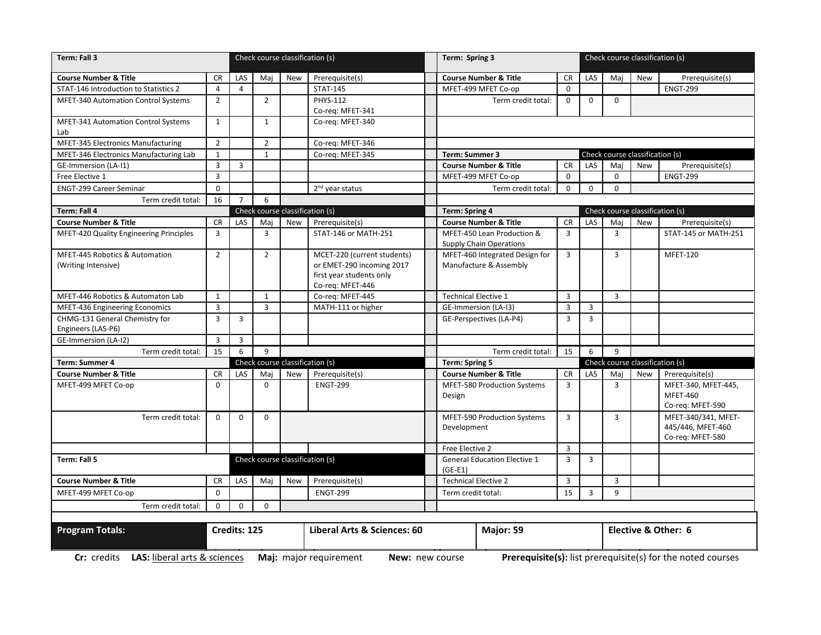| Term: Fall 3<br>Check course classification (s)       |                                                          |                |                | Term: Spring 3                  |                                                                                                          |                                                              |                |                | Check course classification (s) |                                 |                                                              |
|-------------------------------------------------------|----------------------------------------------------------|----------------|----------------|---------------------------------|----------------------------------------------------------------------------------------------------------|--------------------------------------------------------------|----------------|----------------|---------------------------------|---------------------------------|--------------------------------------------------------------|
| <b>Course Number &amp; Title</b>                      | CR.                                                      | LAS            | Maj            | New                             | Prerequisite(s)                                                                                          | <b>Course Number &amp; Title</b>                             | <b>CR</b>      | LAS            | Mai                             | New                             | Prerequisite(s)                                              |
| STAT-146 Introduction to Statistics 2                 | 4                                                        | $\overline{4}$ |                |                                 | <b>STAT-145</b>                                                                                          | MFET-499 MFET Co-op                                          | $\Omega$       |                |                                 |                                 | <b>ENGT-299</b>                                              |
| <b>MFET-340 Automation Control Systems</b>            | $\overline{2}$                                           |                | $\overline{2}$ |                                 | <b>PHYS-112</b>                                                                                          | Term credit total:                                           | $\mathbf 0$    | $\mathbf 0$    | $\Omega$                        |                                 |                                                              |
|                                                       |                                                          |                |                |                                 | Co-req: MFET-341                                                                                         |                                                              |                |                |                                 |                                 |                                                              |
| MFET-341 Automation Control Systems<br>Lab            | $\mathbf{1}$                                             |                | $\mathbf{1}$   |                                 | Co-req: MFET-340                                                                                         |                                                              |                |                |                                 |                                 |                                                              |
| MFET-345 Electronics Manufacturing                    | $\overline{2}$                                           |                | $\overline{2}$ |                                 | Co-req: MFET-346                                                                                         |                                                              |                |                |                                 |                                 |                                                              |
| MFET-346 Electronics Manufacturing Lab                | $\mathbf{1}$                                             |                | $\mathbf{1}$   |                                 | Co-reg: MFET-345                                                                                         | Term: Summer 3                                               |                |                |                                 | Check course classification (s) |                                                              |
| <b>GE-Immersion (LA-I1)</b>                           | $\overline{3}$                                           | $\overline{3}$ |                |                                 |                                                                                                          | <b>Course Number &amp; Title</b>                             | <b>CR</b>      | LAS            | Maj                             | New                             | Prerequisite(s)                                              |
| Free Elective 1                                       | $\overline{3}$                                           |                |                |                                 |                                                                                                          | MFET-499 MFET Co-op                                          | $\mathbf 0$    |                | $\mathbf 0$                     |                                 | <b>ENGT-299</b>                                              |
| <b>ENGT-299 Career Seminar</b>                        | $\mathbf 0$                                              |                |                |                                 | 2 <sup>nd</sup> year status                                                                              | Term credit total:                                           | $\mathbf 0$    | $\mathbf 0$    | $\Omega$                        |                                 |                                                              |
| Term credit total:                                    | 16                                                       | $\overline{7}$ | 6              |                                 |                                                                                                          |                                                              |                |                |                                 |                                 |                                                              |
| Term: Fall 4                                          | Check course classification (s)<br><b>Term: Spring 4</b> |                |                | Check course classification (s) |                                                                                                          |                                                              |                |                |                                 |                                 |                                                              |
| <b>Course Number &amp; Title</b>                      | <b>CR</b>                                                | LAS            | Mai            | New                             | Prerequisite(s)                                                                                          | <b>Course Number &amp; Title</b>                             | CR             | LAS            | Maj                             | New                             | Prerequisite(s)                                              |
| MFET-420 Quality Engineering Principles               | $\overline{3}$                                           |                | $\overline{3}$ |                                 | STAT-146 or MATH-251                                                                                     | MFET-450 Lean Production &<br><b>Supply Chain Operations</b> | $\overline{3}$ |                | 3                               |                                 | STAT-145 or MATH-251                                         |
| MFET-445 Robotics & Automation<br>(Writing Intensive) | $\overline{2}$                                           |                | $\overline{2}$ |                                 | MCET-220 (current students)<br>or EMET-290 incoming 2017<br>first year students only<br>Co-req: MFET-446 | MFET-460 Integrated Design for<br>Manufacture & Assembly     | $\overline{3}$ |                | 3                               |                                 | <b>MFET-120</b>                                              |
| MFET-446 Robotics & Automaton Lab                     | 1                                                        |                | 1              |                                 | Co-reg: MFET-445                                                                                         | <b>Technical Elective 1</b>                                  | $\overline{3}$ |                | 3                               |                                 |                                                              |
| MFET-436 Engineering Economics                        | $\overline{3}$                                           |                | $\overline{3}$ |                                 | MATH-111 or higher                                                                                       | GE-Immersion (LA-I3)                                         | $\overline{3}$ | $\overline{3}$ |                                 |                                 |                                                              |
| CHMG-131 General Chemistry for<br>Engineers (LAS-P6)  | $\overline{3}$                                           | $\overline{3}$ |                |                                 |                                                                                                          | GE-Perspectives (LA-P4)                                      | $\overline{3}$ | $\overline{3}$ |                                 |                                 |                                                              |
| GE-Immersion (LA-I2)                                  | $\overline{3}$                                           | $\overline{3}$ |                |                                 |                                                                                                          |                                                              |                |                |                                 |                                 |                                                              |
| Term credit total:                                    | 15                                                       | 6              | 9              |                                 |                                                                                                          | Term credit total:                                           | 15             | 6              | 9                               |                                 |                                                              |
| <b>Term: Summer 4</b>                                 |                                                          |                |                | Check course classification (s) |                                                                                                          | <b>Term: Spring 5</b>                                        |                |                |                                 | Check course classification (s) |                                                              |
| <b>Course Number &amp; Title</b>                      | <b>CR</b>                                                | LAS            | Mai            | New                             | Prerequisite(s)                                                                                          | <b>Course Number &amp; Title</b>                             | <b>CR</b>      | LAS            | Mai                             | New                             | Prerequisite(s)                                              |
| MFET-499 MFET Co-op                                   | $\Omega$                                                 |                | $\Omega$       |                                 | <b>ENGT-299</b>                                                                                          | MFET-580 Production Systems<br>Design                        | 3              |                | 3                               |                                 | MFET-340, MFET-445,<br><b>MFET-460</b><br>Co-req: MFET-590   |
| Term credit total:                                    | $\Omega$                                                 | $\Omega$       | $\Omega$       |                                 |                                                                                                          | MFET-590 Production Systems<br>Development                   | $\overline{3}$ |                | $\overline{3}$                  |                                 | MFET-340/341, MFET-<br>445/446, MFET-460<br>Co-req: MFET-580 |
|                                                       |                                                          |                |                |                                 |                                                                                                          | Free Elective 2                                              | $\overline{3}$ |                |                                 |                                 |                                                              |
| Term: Fall 5                                          |                                                          |                |                |                                 | Check course classification (s)                                                                          | <b>General Education Elective 1</b><br>$(GE-E1)$             | $\overline{3}$ | $\overline{3}$ |                                 |                                 |                                                              |
| <b>Course Number &amp; Title</b>                      | CR                                                       | LAS            | Maj            | New                             | Prerequisite(s)                                                                                          | <b>Technical Elective 2</b>                                  | $\overline{3}$ |                | 3                               |                                 |                                                              |
| MFET-499 MFET Co-op                                   | $\mathbf 0$                                              |                |                |                                 | <b>ENGT-299</b>                                                                                          | Term credit total:                                           | 15             | $\overline{3}$ | 9                               |                                 |                                                              |
| Term credit total:                                    | $\mathbf 0$                                              | $\mathbf 0$    | $\mathbf 0$    |                                 |                                                                                                          |                                                              |                |                |                                 |                                 |                                                              |
|                                                       |                                                          |                |                |                                 |                                                                                                          |                                                              |                |                |                                 |                                 |                                                              |
| <b>Program Totals:</b>                                |                                                          | Credits: 125   |                |                                 | Liberal Arts & Sciences: 60                                                                              | Elective & Other: 6<br>Major: 59                             |                |                |                                 |                                 |                                                              |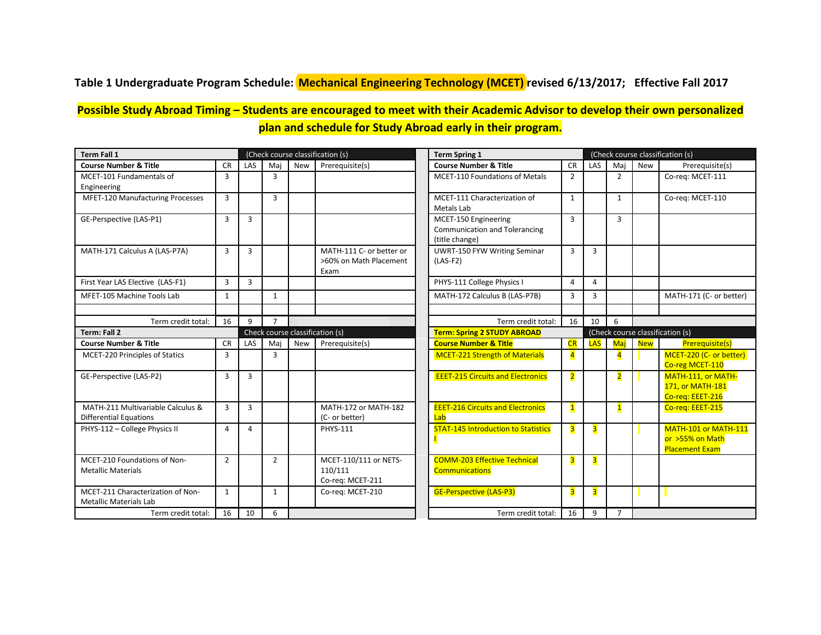### <span id="page-13-0"></span>**Table 1 Undergraduate Program Schedule: Mechanical Engineering Technology (MCET) revised 6/13/2017; Effective Fall 2017**

## **Possible Study Abroad Timing – Students are encouraged to meet with their Academic Advisor to develop their own personalized plan and schedule for Study Abroad early in their program.**

| <b>Term Fall 1</b>                |                |                |                |            | (Check course classification (s)                   | <b>Term Spring 1</b>                              |                         | (Check course classification (s) |                |            |                                            |
|-----------------------------------|----------------|----------------|----------------|------------|----------------------------------------------------|---------------------------------------------------|-------------------------|----------------------------------|----------------|------------|--------------------------------------------|
| <b>Course Number &amp; Title</b>  | <b>CR</b>      | <b>LAS</b>     | Mai            | <b>New</b> | Prerequisite(s)                                    | <b>Course Number &amp; Title</b>                  | <b>CR</b>               | <b>LAS</b>                       | Mai            | <b>New</b> | Prerequisite(s)                            |
| MCET-101 Fundamentals of          | 3              |                | 3              |            |                                                    | <b>MCET-110 Foundations of Metals</b>             | $\overline{2}$          |                                  | $\overline{2}$ |            | Co-reg: MCET-111                           |
| Engineering                       |                |                |                |            |                                                    |                                                   |                         |                                  |                |            |                                            |
| MFET-120 Manufacturing Processes  | 3              |                | 3              |            |                                                    | MCET-111 Characterization of                      | $\mathbf{1}$            |                                  | $\mathbf{1}$   |            | Co-reg: MCET-110                           |
|                                   |                |                |                |            |                                                    | Metals Lab                                        |                         |                                  |                |            |                                            |
| GE-Perspective (LAS-P1)           | 3              | 3              |                |            |                                                    | MCET-150 Engineering                              | 3                       |                                  | 3              |            |                                            |
|                                   |                |                |                |            |                                                    | <b>Communication and Tolerancing</b>              |                         |                                  |                |            |                                            |
|                                   |                |                |                |            |                                                    | (title change)                                    |                         |                                  |                |            |                                            |
| MATH-171 Calculus A (LAS-P7A)     | 3              | $\overline{3}$ |                |            | MATH-111 C- or better or<br>>60% on Math Placement | <b>UWRT-150 FYW Writing Seminar</b><br>$(LAS-F2)$ | 3                       | 3                                |                |            |                                            |
|                                   |                |                |                |            | Exam                                               |                                                   |                         |                                  |                |            |                                            |
| First Year LAS Elective (LAS-F1)  | 3              | $\overline{3}$ |                |            |                                                    | PHYS-111 College Physics I                        | $\overline{a}$          | 4                                |                |            |                                            |
|                                   |                |                |                |            |                                                    |                                                   |                         |                                  |                |            |                                            |
| MFET-105 Machine Tools Lab        | $\mathbf{1}$   |                | $\mathbf{1}$   |            |                                                    | MATH-172 Calculus B (LAS-P7B)                     | 3                       | 3                                |                |            | MATH-171 (C- or better)                    |
|                                   |                |                |                |            |                                                    |                                                   |                         |                                  |                |            |                                            |
| Term credit total:                | 16             | 9              | $\overline{7}$ |            |                                                    | Term credit total:                                | 16                      | 10                               | 6              |            |                                            |
| Term: Fall 2                      |                |                |                |            | Check course classification (s)                    | <b>Term: Spring 2 STUDY ABROAD</b>                |                         |                                  |                |            | (Check course classification (s)           |
| <b>Course Number &amp; Title</b>  | <b>CR</b>      | <b>LAS</b>     | Mai            | <b>New</b> | Prerequisite(s)                                    | <b>Course Number &amp; Title</b>                  | CR                      | <b>LAS</b>                       | Mai            | <b>New</b> | <b>Prerequisite(s)</b>                     |
| MCET-220 Principles of Statics    | 3              |                | $\overline{3}$ |            |                                                    | <b>MCET-221 Strength of Materials</b>             | $\overline{4}$          |                                  | $\overline{4}$ |            | MCET-220 (C- or better)<br>Co-reg MCET-110 |
| GE-Perspective (LAS-P2)           | 3              | 3              |                |            |                                                    | <b>EEET-215 Circuits and Electronics</b>          | $\overline{2}$          |                                  | $\overline{2}$ |            | MATH-111, or MATH-                         |
|                                   |                |                |                |            |                                                    |                                                   |                         |                                  |                |            | 171, or MATH-181                           |
|                                   |                |                |                |            |                                                    |                                                   |                         |                                  |                |            | Co-req: EEET-216                           |
| MATH-211 Multivariable Calculus & | 3              | $\overline{3}$ |                |            | MATH-172 or MATH-182                               | <b>EEET-216 Circuits and Electronics</b>          | $\mathbf{1}$            |                                  | $\mathbf{1}$   |            | Co-reg: EEET-215                           |
| <b>Differential Equations</b>     |                |                |                |            | (C- or better)                                     | Lab                                               |                         |                                  |                |            |                                            |
| PHYS-112 - College Physics II     | 4              | $\overline{4}$ |                |            | <b>PHYS-111</b>                                    | <b>STAT-145 Introduction to Statistics</b>        | $\overline{\mathbf{3}}$ | $\overline{\mathbf{3}}$          |                |            | <b>MATH-101 or MATH-111</b>                |
|                                   |                |                |                |            |                                                    |                                                   |                         |                                  |                |            | or >55% on Math                            |
|                                   |                |                |                |            |                                                    |                                                   |                         |                                  |                |            | <b>Placement Exam</b>                      |
| MCET-210 Foundations of Non-      | $\overline{2}$ |                | $\overline{2}$ |            | MCET-110/111 or NETS-                              | <b>COMM-203 Effective Technical</b>               | 3                       | $\overline{\mathbf{3}}$          |                |            |                                            |
| <b>Metallic Materials</b>         |                |                |                |            | 110/111                                            | <b>Communications</b>                             |                         |                                  |                |            |                                            |
| MCET-211 Characterization of Non- | $\mathbf{1}$   |                | $\mathbf{1}$   |            | Co-reg: MCET-211<br>Co-rea: MCET-210               | <b>GE-Perspective (LAS-P3)</b>                    |                         | $\overline{\mathbf{3}}$          |                |            |                                            |
| <b>Metallic Materials Lab</b>     |                |                |                |            |                                                    |                                                   | $\overline{\mathbf{3}}$ |                                  |                |            |                                            |
| Term credit total:                | 16             | 10             | 6              |            |                                                    | Term credit total:                                | 16                      | 9                                | $\overline{7}$ |            |                                            |
|                                   |                |                |                |            |                                                    |                                                   |                         |                                  |                |            |                                            |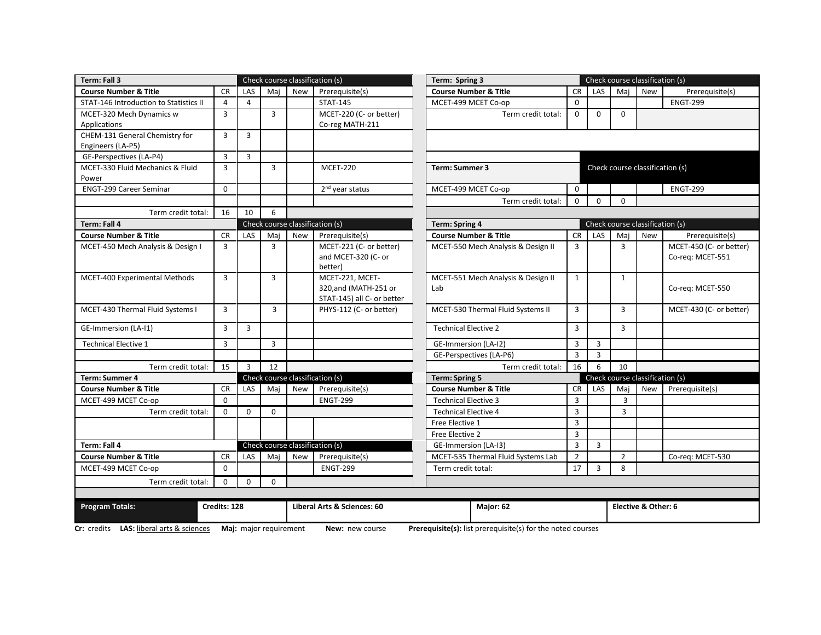| Term: Fall 3                             |                |                |                        |            | Check course classification (s)                       | Term: Spring 3                                              |                |                |                | Check course classification (s) |                         |
|------------------------------------------|----------------|----------------|------------------------|------------|-------------------------------------------------------|-------------------------------------------------------------|----------------|----------------|----------------|---------------------------------|-------------------------|
| <b>Course Number &amp; Title</b>         | <b>CR</b>      | LAS            | Maj                    | <b>New</b> | Prerequisite(s)                                       | <b>Course Number &amp; Title</b>                            | <b>CR</b>      | LAS            | Maj            | <b>New</b>                      | Prerequisite(s)         |
| STAT-146 Introduction to Statistics II   | 4              | $\overline{4}$ |                        |            | <b>STAT-145</b>                                       | MCET-499 MCET Co-op                                         | $\Omega$       |                |                |                                 | <b>ENGT-299</b>         |
| MCET-320 Mech Dynamics w                 | 3              |                | 3                      |            | MCET-220 (C- or better)                               | Term credit total:                                          | 0              | $\mathbf 0$    | $\mathbf 0$    |                                 |                         |
| Applications                             |                |                |                        |            | Co-reg MATH-211                                       |                                                             |                |                |                |                                 |                         |
| CHEM-131 General Chemistry for           | 3              | 3              |                        |            |                                                       |                                                             |                |                |                |                                 |                         |
| Engineers (LA-P5)                        |                |                |                        |            |                                                       |                                                             |                |                |                |                                 |                         |
| GE-Perspectives (LA-P4)                  | $\overline{3}$ | 3              |                        |            |                                                       |                                                             |                |                |                |                                 |                         |
| MCET-330 Fluid Mechanics & Fluid         | 3              |                | 3                      |            | <b>MCET-220</b>                                       | Term: Summer 3                                              |                |                |                | Check course classification (s) |                         |
| Power                                    |                |                |                        |            |                                                       |                                                             |                |                |                |                                 |                         |
| <b>ENGT-299 Career Seminar</b>           | $\mathbf 0$    |                |                        |            | 2 <sup>nd</sup> year status                           | MCET-499 MCET Co-op                                         | $\mathbf 0$    |                |                |                                 | <b>ENGT-299</b>         |
|                                          |                |                |                        |            |                                                       | Term credit total:                                          | $\Omega$       | $\Omega$       | $\Omega$       |                                 |                         |
| Term credit total:                       | 16             | 10             | 6                      |            |                                                       |                                                             |                |                |                |                                 |                         |
| Term: Fall 4                             |                |                |                        |            | Check course classification (s)                       | <b>Term: Spring 4</b>                                       |                |                |                | Check course classification (s) |                         |
| <b>Course Number &amp; Title</b>         | <b>CR</b>      | LAS            | Maj                    | New        | Prerequisite(s)                                       | <b>Course Number &amp; Title</b>                            | <b>CR</b>      | LAS            | Maj            | New                             | Prerequisite(s)         |
| MCET-450 Mech Analysis & Design I        | 3              |                | 3                      |            | MCET-221 (C- or better)                               | MCET-550 Mech Analysis & Design II                          | 3              |                | 3              |                                 | MCET-450 (C- or better) |
|                                          |                |                |                        |            | and MCET-320 (C- or                                   |                                                             |                |                |                |                                 | Co-reg: MCET-551        |
|                                          |                |                |                        |            | better)                                               |                                                             |                |                |                |                                 |                         |
| MCET-400 Experimental Methods            | 3              |                | 3                      |            | MCET-221, MCET-                                       | MCET-551 Mech Analysis & Design II                          | $\mathbf{1}$   |                | $\mathbf{1}$   |                                 |                         |
|                                          |                |                |                        |            | 320, and (MATH-251 or                                 | Lab                                                         |                |                |                |                                 | Co-req: MCET-550        |
| MCET-430 Thermal Fluid Systems I         | $\overline{3}$ |                | $\overline{3}$         |            | STAT-145) all C- or better<br>PHYS-112 (C- or better) | MCET-530 Thermal Fluid Systems II                           | 3              |                | $\overline{3}$ |                                 | MCET-430 (C- or better) |
|                                          |                |                |                        |            |                                                       |                                                             |                |                |                |                                 |                         |
| GE-Immersion (LA-I1)                     | 3              | 3              |                        |            |                                                       | <b>Technical Elective 2</b>                                 | 3              |                | 3              |                                 |                         |
| <b>Technical Elective 1</b>              | 3              |                | 3                      |            |                                                       | GE-Immersion (LA-I2)                                        | 3              | 3              |                |                                 |                         |
|                                          |                |                |                        |            |                                                       | GE-Perspectives (LA-P6)                                     | $\overline{3}$ | $\overline{3}$ |                |                                 |                         |
| Term credit total:                       | 15             | $\overline{3}$ | 12                     |            |                                                       | Term credit total:                                          | 16             | 6              | 10             |                                 |                         |
| Term: Summer 4                           |                |                |                        |            | Check course classification (s)                       | <b>Term: Spring 5</b>                                       |                |                |                | Check course classification (s) |                         |
| <b>Course Number &amp; Title</b>         | <b>CR</b>      | LAS            | Maj                    | New        | Prerequisite(s)                                       | <b>Course Number &amp; Title</b>                            | <b>CR</b>      | LAS            | Maj            | New                             | Prerequisite(s)         |
| MCET-499 MCET Co-op                      | $\Omega$       |                |                        |            | <b>ENGT-299</b>                                       | <b>Technical Elective 3</b>                                 | $\overline{3}$ |                | 3              |                                 |                         |
| Term credit total:                       | $\Omega$       | $\Omega$       | $\mathbf{0}$           |            |                                                       | <b>Technical Elective 4</b>                                 | $\overline{3}$ |                | $\overline{3}$ |                                 |                         |
|                                          |                |                |                        |            |                                                       | Free Elective 1                                             | 3              |                |                |                                 |                         |
|                                          |                |                |                        |            |                                                       | Free Elective 2                                             | $\overline{3}$ |                |                |                                 |                         |
| Term: Fall 4                             |                |                |                        |            | Check course classification (s)                       | GE-Immersion (LA-I3)                                        | 3              | 3              |                |                                 |                         |
| <b>Course Number &amp; Title</b>         | <b>CR</b>      | LAS            | Maj                    | <b>New</b> | Prerequisite(s)                                       | MCET-535 Thermal Fluid Systems Lab                          | $\overline{2}$ |                | $\overline{2}$ |                                 | Co-req: MCET-530        |
| MCET-499 MCET Co-op                      | $\mathbf 0$    |                |                        |            | <b>ENGT-299</b>                                       | Term credit total:                                          | 17             | 3              | 8              |                                 |                         |
| Term credit total:                       | $\mathbf 0$    | $\mathbf 0$    | $\mathbf{0}$           |            |                                                       |                                                             |                |                |                |                                 |                         |
|                                          |                |                |                        |            |                                                       |                                                             |                |                |                |                                 |                         |
| <b>Program Totals:</b>                   | Credits: 128   |                |                        |            | Liberal Arts & Sciences: 60                           | Major: 62                                                   |                |                |                | Elective & Other: 6             |                         |
| Cr: credits LAS: liberal arts & sciences |                |                | Maj: major requirement |            | New: new course                                       | Prerequisite(s): list prerequisite(s) for the noted courses |                |                |                |                                 |                         |